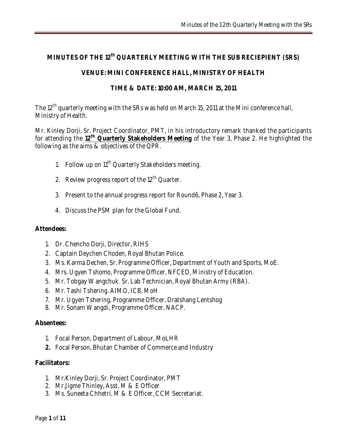# **MINUTES OF THE 12th QUARTERLY MEETING WITH THE SUB RECIEPIENT (SRS)**

## **VENUE: MINI CONFERENCE HALL, MINISTRY OF HEALTH**

## **TIME & DATE: 10:00 AM, MARCH 15, 2011**

The 12<sup>th</sup> quarterly meeting with the SRs was held on March 15, 2011 at the Mini conference hall, Ministry of Health.

Mr. Kinley Dorji, Sr. Project Coordinator, PMT, in his introductory remark thanked the participants for attending the **12th Quarterly Stakeholders Meeting** of the Year 3, Phase 2. He highlighted the following as the aims & objectives of the QPR.

- 1. Follow up on  $11<sup>th</sup>$  Quarterly Stakeholders meeting.
- 2. Review progress report of the  $12<sup>th</sup>$  Quarter.
- 3. Present to the annual progress report for Round6, Phase 2, Year 3.
- 4. Discuss the PSM plan for the Global Fund.

## **Attendees:**

- 1. Dr. Chencho Dorji, Director, RIHS
- 2. Captain Deychen Choden, Royal Bhutan Police.
- 3. Ms. Karma Dechen, Sr. Programme Officer, Department of Youth and Sports, MoE.
- 4. Mrs. Ugyen Tshomo, Programme Officer, NFCED, Ministry of Education.
- 5. Mr. Tobgay Wangchuk. Sr. Lab Technician, Royal Bhutan Army (RBA).
- 6. Mr. Tashi Tshering. AIMO, ICB, MoH
- 7. Mr. Ugyen Tshering, Programme Officer, Dratshang Lentshog
- 8. Mr. Sonam Wangdi, Programme Officer, NACP.

## **Absentees:**

- 1. Focal Person, Department of Labour, MoLHR
- **2.** Focal Person, Bhutan Chamber of Commerce and Industry

## **Facilitators:**

- 1. Mr.Kinley Dorji, Sr. Project Coordinator, PMT
- 2. Mr.Jigme Thinley, Asst. M & E Officer
- 3. Ms. Suneeta Chhetri, M & E Officer, CCM Secretariat.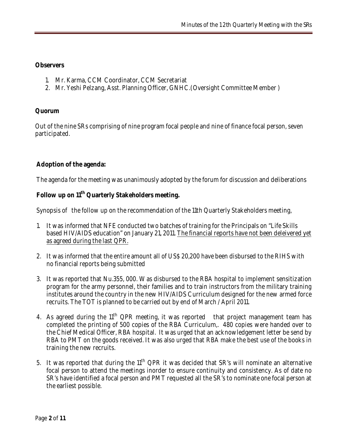**Observers** 

- 1. Mr. Karma, CCM Coordinator, CCM Secretariat
- 2. Mr. Yeshi Pelzang, Asst. Planning Officer, GNHC.(Oversight Committee Member )

**Quorum** 

Out of the nine SRs comprising of nine program focal people and nine of finance focal person, seven participated.

**Adoption of the agenda:** 

The agenda for the meeting was unanimously adopted by the forum for discussion and deliberations

**Follow up on 11th Quarterly Stakeholders meeting.**

Synopsis of the follow up on the recommendation of the 11th Quarterly Stakeholders meeting,

- 1. It was informed that NFE conducted two batches of training for the Principals on "Life Skills based HIV/AIDS education" on January 21, 2011. The financial reports have not been deleivered yet as agreed during the last QPR.
- 2. It was informed that the entire amount all of US\$ 20,200 have been disbursed to the RIHS with no financial reports being submitted
- 3. It was reported that Nu.355, 000. Was disbursed to the RBA hospital to implement sensitization program for the army personnel, their families and to train instructors from the military training institutes around the country in the new HIV/AIDS Curriculum designed for the new armed force recruits. The TOT is planned to be carried out by end of March / April 2011.
- 4. As agreed during the  $11<sup>th</sup> QPR$  meeting, it was reported that project management team has completed the printing of 500 copies of the RBA Curriculum,. 480 copies were handed over to the Chief Medical Officer, RBA hospital. It was urged that an acknowledgement letter be send by RBA to PMT on the goods received. It was also urged that RBA make the best use of the books in training the new recruits.
- 5. It was reported that during the  $11<sup>th</sup> QPR$  it was decided that SR's will nominate an alternative focal person to attend the meetings inorder to ensure continuity and consistency. As of date no SR's have identified a focal person and PMT requested all the SR's to nominate one focal person at the earliest possible.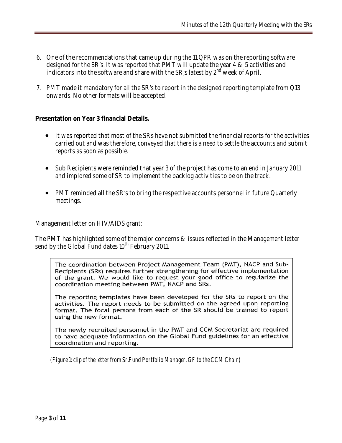- 6. One of the recommendations that came up during the 11 QPR was on the reporting software designed for the SR's. It was reported that PMT will update the year 4 & 5 activities and indicators into the software and share with the SR;s latest by  $2<sup>nd</sup>$  week of April.
- 7. PMT made it mandatory for all the SR's to report in the designed reporting template from Q13 onwards. No other formats will be accepted.

**Presentation on Year 3 financial Details.**

- It was reported that most of the SRs have not submitted the financial reports for the activities carried out and was therefore, conveyed that there is a need to settle the accounts and submit reports as soon as possible.
- Sub Recipients were reminded that year 3 of the project has come to an end in January 2011 and implored some of SR to implement the backlog activities to be on the track.
- PMT reminded all the SR's to bring the respective accounts personnel in future Quarterly meetings.

Management letter on HIV/AIDS grant:

The PMT has highlighted some of the major concerns & issues reflected in the Management letter send by the Global Fund dates  $10^{th}$  February 2011.

The coordination between Project Management Team (PMT), NACP and Sub-Recipients (SRs) requires further strengthening for effective implementation of the grant. We would like to request your good office to regularize the coordination meeting between PMT, NACP and SRs.

The reporting templates have been developed for the SRs to report on the activities. The report needs to be submitted on the agreed upon reporting format. The focal persons from each of the SR should be trained to report using the new format.

The newly recruited personnel in the PMT and CCM Secretariat are required to have adequate information on the Global Fund guidelines for an effective coordination and reporting.

*(Figure 1: clip of the letter from Sr.Fund Portfolio Manager, GF to the CCM Chair*)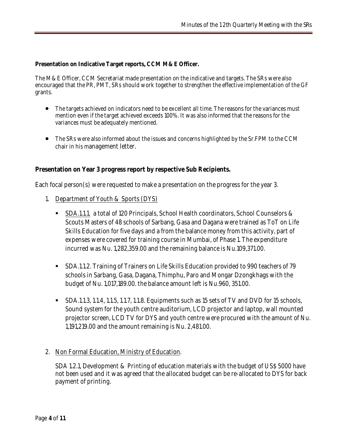**Presentation on Indicative Target reports, CCM M&E Officer.**

The M&E Officer, CCM Secretariat made presentation on the indicative and targets. The SRs were also encouraged that the PR, PMT, SRs should work together to strengthen the effective implementation of the GF grants.

- The targets achieved on indicators need to be excellent all time. The reasons for the variances must mention even if the target achieved exceeds 100%. It was also informed that the reasons for the variances must be adequately mentioned.
- The SRs were also informed about the issues and concerns highlighted by the Sr.FPM to the CCM chair in his management letter.

**Presentation on Year 3 progress report by respective Sub Recipients.** 

Each focal person(s) were requested to make a presentation on the progress for the year 3.

- 1. Department of Youth & Sports (DYS)
	- SDA.1.1.1. a total of 120 Principals, School Health coordinators, School Counselors & Scouts Masters of 48 schools of Sarbang, Gasa and Dagana were trained as ToT on Life Skills Education for five days and a from the balance money from this activity, part of expenses were covered for training course in Mumbai, of Phase 1. The expenditure incurred was Nu. 1,282,359.00 and the remaining balance is Nu.109,371.00.
	- SDA.1.1.2. Training of Trainers on Life Skills Education provided to 990 teachers of 79 schools in Sarbang, Gasa, Dagana, Thimphu, Paro and Mongar Dzongkhags with the budget of Nu. 1,017,189.00. the balance amount left is Nu.960, 351.00.
	- SDA.1.1.3, 1.1.4, 1.1.5, 1.1.7, 1.1.8. Equipments such as 15 sets of TV and DVD for 15 schools, Sound system for the youth centre auditorium, LCD projector and laptop, wall mounted projector screen, LCD TV for DYS and youth centre were procured with the amount of Nu. 1,191,219.00 and the amount remaining is Nu. 2,481.00.
- 2. Non Formal Education, Ministry of Education.

SDA 1.2.1, Development & Printing of education materials with the budget of US\$ 5000 have not been used and it was agreed that the allocated budget can be re-allocated to DYS for back payment of printing.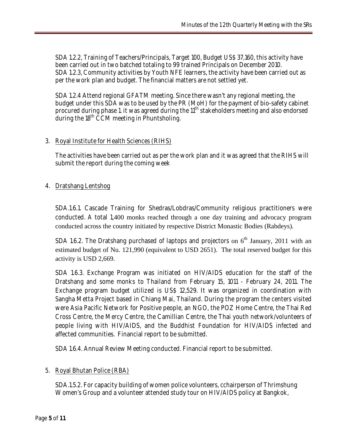SDA 1.2.2, Training of Teachers/Principals, Target 100, Budget US\$ 37,160, this activity have been carried out in two batched totaling to 99 trained Principals on December 2010. SDA 1.2.3, Community activities by Youth NFE learners, the activity have been carried out as per the work plan and budget. The financial matters are not settled yet.

SDA 1.2.4 Attend regional GFATM meeting. Since there wasn't any regional meeting, the budget under this SDA was to be used by the PR (MoH) for the payment of bio-safety cabinet procured during phase 1. it was agreed during the 11<sup>th</sup> stakeholders meeting and also endorsed during the  $18<sup>th</sup>$  CCM meeting in Phuntsholing.

## 3. Royal Institute for Health Sciences (RIHS)

The activities have been carried out as per the work plan and it was agreed that the RIHS will submit the report during the coming week

## 4. Dratshang Lentshog

SDA.1.6.1. Cascade Training for Shedras/Lobdras/Community religious practitioners were conducted. A total 1,400 monks reached through a one day training and advocacy program conducted across the country initiated by respective District Monastic Bodies (Rabdeys).

SDA 1.6.2. The Dratshang purchased of laptops and projectors on  $6<sup>th</sup>$  January, 2011 with an estimated budget of Nu. 121,990 (equivalent to USD 2651). The total reserved budget for this activity is USD 2,669.

SDA 1.6.3. Exchange Program was initiated on HIV/AIDS education for the staff of the Dratshang and some monks to Thailand from February 15, 1011 - February 24, 2011. The Exchange program budget utilized is US\$ 12,529. It was organized in coordination with Sangha Metta Project based in Chiang Mai, Thailand. During the program the centers visited were Asia Pacific Network for Positive people, an NGO, the POZ Home Centre, the Thai Red Cross Centre, the Mercy Centre, the Camillian Centre, the Thai youth network/volunteers of people living with HIV/AIDS, and the Buddhist Foundation for HIV/AIDS infected and affected communities. Financial report to be submitted.

SDA 1.6.4. Annual Review Meeting conducted. Financial report to be submitted.

## 5. Royal Bhutan Police (RBA)

SDA.1.5.2. For capacity building of women police volunteers, cchairperson of Thrimshung Women's Group and a volunteer attended study tour on HIV/AIDS policy at Bangkok,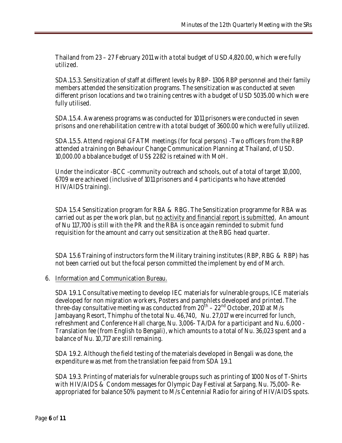Thailand from 23 – 27 February 2011 with a total budget of USD.4,820.00, which were fully utilized.

SDA.1.5.3. Sensitization of staff at different levels by RBP- 1306 RBP personnel and their family members attended the sensitization programs. The sensitization was conducted at seven different prison locations and two training centres with a budget of USD 5035.00 which were fully utilised.

SDA.1.5.4. Awareness programs was conducted for 1011 prisoners were conducted in seven prisons and one rehabilitation centre with a total budget of 3600.00 which were fully utilized.

SDA.1.5.5. Attend regional GFATM meetings (for focal persons) -Two officers from the RBP attended a training on Behaviour Change Communication Planning at Thailand, of USD. 10,000.00 a bbalance budget of US\$ 2282 is retained with MoH.

Under the indicator -BCC -community outreach and schools, out of a total of target 10,000, 6709 were achieved (inclusive of 1011 prisoners and 4 participants who have attended HIV/AIDS training).

SDA 1.5.4 Sensitization program for RBA & RBG. The Sensitization programme for RBA was carried out as per the work plan, but no activity and financial report is submitted. An amount of Nu 117,700 is still with the PR and the RBA is once again reminded to submit fund requisition for the amount and carry out sensitization at the RBG head quarter.

SDA 1.5.6 Training of instructors form the Military training institutes (RBP, RBG & RBP) has not been carried out but the focal person committed the implement by end of March.

6. Information and Communication Bureau.

SDA 1.9.1. Consultative meeting to develop IEC materials for vulnerable groups, ICE materials developed for non migration workers, Posters and pamphlets developed and printed. The three-day consultative meeting was conducted from 20th – 22nd October, 2010 at M/s Jambayang Resort, Thimphu of the total Nu. 46,740, Nu. 27,017 were incurred for lunch, refreshment and Conference Hall charge, Nu. 3,006- TA/DA for a participant and Nu. 6,000 - Translation fee (from English to Bengali), which amounts to a total of Nu. 36,023 spent and a balance of Nu. 10,717 are still remaining.

SDA 1.9.2. Although the field testing of the materials developed in Bengali was done, the expenditure was met from the translation fee paid from SDA 1.9.1

SDA 1.9.3. Printing of materials for vulnerable groups such as printing of 1000 Nos of T-Shirts with HIV/AIDS & Condom messages for Olympic Day Festival at Sarpang. Nu. 75,000- Reappropriated for balance 50% payment to M/s Centennial Radio for airing of HIV/AIDS spots.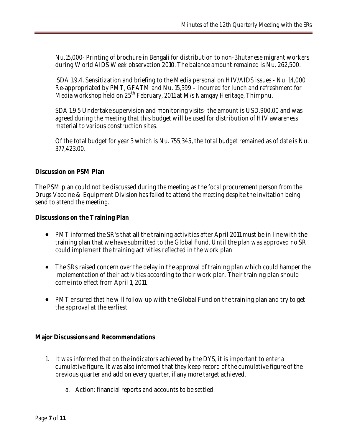Nu.15,000- Printing of brochure in Bengali for distribution to non-Bhutanese migrant workers during World AIDS Week observation 2010. The balance amount remained is Nu. 262,500.

SDA 1.9.4. Sensitization and briefing to the Media personal on HIV/AIDS issues - Nu. 14,000 Re-appropriated by PMT, GFATM and Nu. 15,399 – Incurred for lunch and refreshment for Media workshop held on 25<sup>th</sup> February, 2011 at M/s Namgay Heritage, Thimphu.

SDA 1.9.5 Undertake supervision and monitoring visits- the amount is USD.900.00 and was agreed during the meeting that this budget will be used for distribution of HIV awareness material to various construction sites.

Of the total budget for year 3 which is Nu. 755,345, the total budget remained as of date is Nu. 377,423.00.

## **Discussion on PSM Plan**

The PSM plan could not be discussed during the meeting as the focal procurement person from the Drugs Vaccine & Equipment Division has failed to attend the meeting despite the invitation being send to attend the meeting.

**Discussions on the Training Plan** 

- PMT informed the SR's that all the training activities after April 2011 must be in line with the training plan that we have submitted to the Global Fund. Until the plan was approved no SR could implement the training activities reflected in the work plan
- The SRs raised concern over the delay in the approval of training plan which could hamper the implementation of their activities according to their work plan. Their training plan should come into effect from April 1, 2011.
- PMT ensured that he will follow up with the Global Fund on the training plan and try to get the approval at the earliest

**Major Discussions and Recommendations**

- 1. It was informed that on the indicators achieved by the DYS, it is important to enter a cumulative figure. It was also informed that they keep record of the cumulative figure of the previous quarter and add on every quarter, if any more target achieved.
	- a. Action: financial reports and accounts to be settled.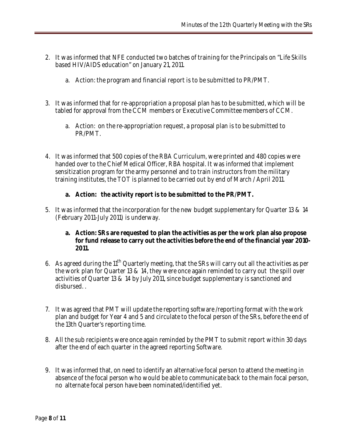- 2. It was informed that NFE conducted two batches of training for the Principals on "Life Skills based HIV/AIDS education" on January 21, 2011.
	- a. Action: the program and financial report is to be submitted to PR/PMT.
- 3. It was informed that for re-appropriation a proposal plan has to be submitted, which will be tabled for approval from the CCM members or Executive Committee members of CCM.
	- a. Action: on the re-appropriation request, a proposal plan is to be submitted to PR/PMT.
- 4. It was informed that 500 copies of the RBA Curriculum, were printed and 480 copies were handed over to the Chief Medical Officer, RBA hospital. It was informed that implement sensitization program for the army personnel and to train instructors from the military training institutes, the TOT is planned to be carried out by end of March / April 2011.
	- **a. Action: the activity report is to be submitted to the PR/PMT.**
- 5. It was informed that the incorporation for the new budget supplementary for Quarter 13 & 14 (February 2011-July 2011) is underway.
	- **a. Action: SRs are requested to plan the activities as per the work plan also propose for fund release to carry out the activities before the end of the financial year 2010- 2011.**
- 6. As agreed during the  $11<sup>th</sup>$  Quarterly meeting, that the SRs will carry out all the activities as per the work plan for Quarter 13 & 14, they were once again reminded to carry out the spill over activities of Quarter 13 & 14 by July 2011, since budget supplementary is sanctioned and disbursed. .
- 7. It was agreed that PMT will update the reporting software /reporting format with the work plan and budget for Year 4 and 5 and circulate to the focal person of the SRs, before the end of the 13th Quarter's reporting time.
- 8. All the sub recipients were once again reminded by the PMT to submit report within 30 days after the end of each quarter in the agreed reporting Software.
- 9. It was informed that, on need to identify an alternative focal person to attend the meeting in absence of the focal person who would be able to communicate back to the main focal person, no alternate focal person have been nominated/identified yet.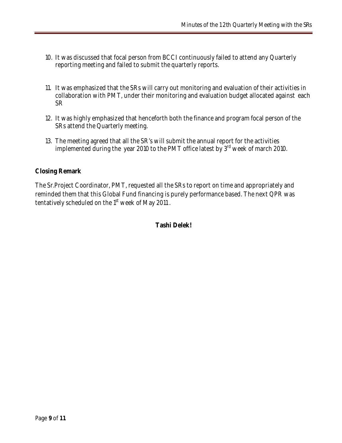- 10. It was discussed that focal person from BCCI continuously failed to attend any Quarterly reporting meeting and failed to submit the quarterly reports.
- 11. It was emphasized that the SRs will carry out monitoring and evaluation of their activities in collaboration with PMT, under their monitoring and evaluation budget allocated against each SR
- 12. It was highly emphasized that henceforth both the finance and program focal person of the SRs attend the Quarterly meeting.
- 13. The meeting agreed that all the SR's will submit the annual report for the activities implemented during the year 2010 to the PMT office latest by  $3<sup>rd</sup>$  week of march 2010.

## **Closing Remark**

The Sr.Project Coordinator, PMT, requested all the SRs to report on time and appropriately and reminded them that this Global Fund financing is purely performance based. The next QPR was tentatively scheduled on the 1<sup>st</sup> week of May 2011.

**Tashi Delek!**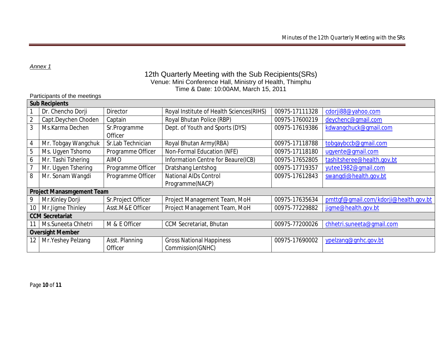*Annex 1*

## 12th Quarterly Meeting with the Sub Recipients(SRs) Venue: Mini Conference Hall, Ministry of Health, Thimphu Time & Date: 10:00AM, March 15, 2011

### Participants of the meetings

| <b>Sub Recipients</b>     |                     |                    |                                           |                |                                       |
|---------------------------|---------------------|--------------------|-------------------------------------------|----------------|---------------------------------------|
|                           | Dr. Chencho Dorji   | Director           | Royal Institute of Health Sciences (RIHS) | 00975-17111328 | cdorji88@yahoo.com                    |
|                           | Capt.Deychen Choden | Captain            | Royal Bhutan Police (RBP)                 | 00975-17600219 | deychenc@qmail.com                    |
| 3                         | Ms.Karma Dechen     | Sr.Programme       | Dept. of Youth and Sports (DYS)           | 00975-17619386 | kdwangchuck@qmail.com                 |
|                           |                     | Officer            |                                           |                |                                       |
| 4                         | Mr. Tobgay Wangchuk | Sr.Lab Technician  | Royal Bhutan Army(RBA)                    | 00975-17118788 | tobgaybccb@gmail.com                  |
| 5                         | Ms. Ugyen Tshomo    | Programme Officer  | Non-Formal Education (NFE)                | 00975-17118180 | uqyente@qmail.com                     |
| 6                         | Mr. Tashi Tshering  | <b>AIMO</b>        | Information Centre for Beaure(ICB)        | 00975-17652805 | tashitsheree@health.gov.bt            |
|                           | Mr. Ugyen Tshering  | Programme Officer  | Dratshang Lentshog                        | 00975-17719357 | yutee1982@qmail.com                   |
| 8                         | Mr. Sonam Wangdi    | Programme Officer  | <b>National AIDs Control</b>              | 00975-17612843 | swangdi@health.gov.bt                 |
|                           |                     |                    | Programme(NACP)                           |                |                                       |
| Project Manasmgement Team |                     |                    |                                           |                |                                       |
| 9                         | Mr.Kinley Dorji     | Sr.Project Officer | Project Management Team, MoH              | 00975-17635634 | pmttgf@gmail.com/kdorji@health.gov.bt |
| 10                        | Mr.Jigme Thinley    | Asst.M&E Officer   | Project Management Team, MoH              | 00975-77229882 | jigme@health.gov.bt                   |
| <b>CCM Secretariat</b>    |                     |                    |                                           |                |                                       |
|                           | Ms.Suneeta Chhetri  | M & E Officer      | <b>CCM Secretariat, Bhutan</b>            | 00975-77200026 | chhetri.suneeta@qmail.com             |
| Oversight Member          |                     |                    |                                           |                |                                       |
| 12                        | Mr. Yeshey Pelzang  | Asst. Planning     | <b>Gross National Happiness</b>           | 00975-17690002 | ypelzang@gnhc.gov.bt                  |
|                           |                     | Officer            | Commission(GNHC)                          |                |                                       |

Page **10** of **11**